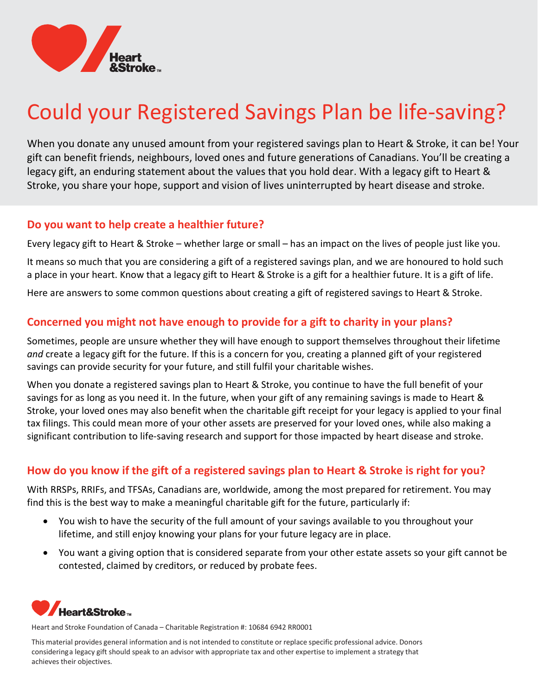

# Could your Registered Savings Plan be life-saving?

When you donate any unused amount from your registered savings plan to Heart & Stroke, it can be! Your gift can benefit friends, neighbours, loved ones and future generations of Canadians. You'll be creating a legacy gift, an enduring statement about the values that you hold dear. With a legacy gift to Heart & Stroke, you share your hope, support and vision of lives uninterrupted by heart disease and stroke.

#### Do you want to help create a healthier future?

Every legacy gift to Heart & Stroke – whether large or small – has an impact on the lives of people just like you.

It means so much that you are considering a gift of a registered savings plan, and we are honoured to hold such a place in your heart. Know that a legacy gift to Heart & Stroke is a gift for a healthier future. It is a gift of life.

Here are answers to some common questions about creating a gift of registered savings to Heart & Stroke.

### Concerned you might not have enough to provide for a gift to charity in your plans?

Sometimes, people are unsure whether they will have enough to support themselves throughout their lifetime and create a legacy gift for the future. If this is a concern for you, creating a planned gift of your registered savings can provide security for your future, and still fulfil your charitable wishes.

When you donate a registered savings plan to Heart & Stroke, you continue to have the full benefit of your savings for as long as you need it. In the future, when your gift of any remaining savings is made to Heart & Stroke, your loved ones may also benefit when the charitable gift receipt for your legacy is applied to your final tax filings. This could mean more of your other assets are preserved for your loved ones, while also making a significant contribution to life-saving research and support for those impacted by heart disease and stroke.

## How do you know if the gift of a registered savings plan to Heart & Stroke is right for you?

With RRSPs, RRIFs, and TFSAs, Canadians are, worldwide, among the most prepared for retirement. You may find this is the best way to make a meaningful charitable gift for the future, particularly if:

- You wish to have the security of the full amount of your savings available to you throughout your lifetime, and still enjoy knowing your plans for your future legacy are in place.
- You want a giving option that is considered separate from your other estate assets so your gift cannot be contested, claimed by creditors, or reduced by probate fees.



Heart and Stroke Foundation of Canada – Charitable Registration #: 10684 6942 RR0001

This material provides general information and is not intended to constitute or replace specific professional advice. Donors considering a legacy gift should speak to an advisor with appropriate tax and other expertise to implement a strategy that achieves their objectives.